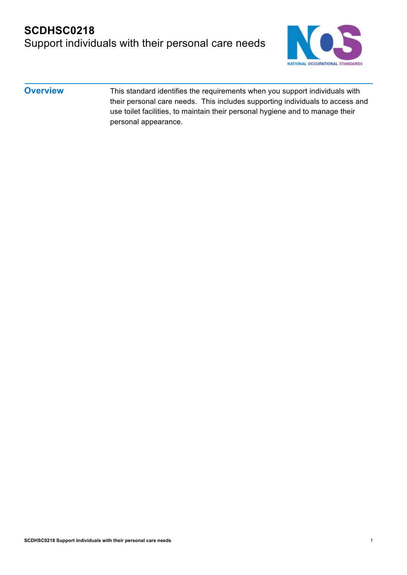### **SCDHSC0218** Support individuals with their personal care needs



#### **Overview** This standard identifies the requirements when you support individuals with their personal care needs. This includes supporting individuals to access and use toilet facilities, to maintain their personal hygiene and to manage their personal appearance.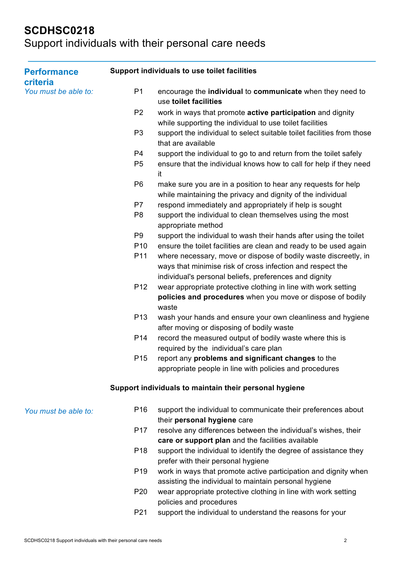| <b>Performance</b><br>criteria<br>You must be able to: | Support individuals to use toilet facilities |                                                                                                                                                                                         |
|--------------------------------------------------------|----------------------------------------------|-----------------------------------------------------------------------------------------------------------------------------------------------------------------------------------------|
|                                                        | P <sub>1</sub>                               | encourage the individual to communicate when they need to<br>use toilet facilities                                                                                                      |
|                                                        | P <sub>2</sub>                               | work in ways that promote active participation and dignity<br>while supporting the individual to use toilet facilities                                                                  |
|                                                        | P <sub>3</sub>                               | support the individual to select suitable toilet facilities from those<br>that are available                                                                                            |
|                                                        | P <sub>4</sub>                               | support the individual to go to and return from the toilet safely                                                                                                                       |
|                                                        | P <sub>5</sub>                               | ensure that the individual knows how to call for help if they need<br>it                                                                                                                |
|                                                        | P <sub>6</sub>                               | make sure you are in a position to hear any requests for help<br>while maintaining the privacy and dignity of the individual                                                            |
|                                                        | P7                                           | respond immediately and appropriately if help is sought                                                                                                                                 |
|                                                        | P <sub>8</sub>                               | support the individual to clean themselves using the most<br>appropriate method                                                                                                         |
|                                                        | P <sub>9</sub>                               | support the individual to wash their hands after using the toilet                                                                                                                       |
|                                                        | P <sub>10</sub>                              | ensure the toilet facilities are clean and ready to be used again                                                                                                                       |
|                                                        | P <sub>11</sub>                              | where necessary, move or dispose of bodily waste discreetly, in<br>ways that minimise risk of cross infection and respect the<br>individual's personal beliefs, preferences and dignity |
|                                                        | P <sub>12</sub>                              | wear appropriate protective clothing in line with work setting<br>policies and procedures when you move or dispose of bodily<br>waste                                                   |
|                                                        | P <sub>13</sub>                              | wash your hands and ensure your own cleanliness and hygiene                                                                                                                             |
|                                                        |                                              | after moving or disposing of bodily waste                                                                                                                                               |
|                                                        | P <sub>14</sub>                              | record the measured output of bodily waste where this is                                                                                                                                |
|                                                        |                                              | required by the individual's care plan                                                                                                                                                  |
|                                                        | P <sub>15</sub>                              | report any problems and significant changes to the                                                                                                                                      |
|                                                        |                                              | appropriate people in line with policies and procedures                                                                                                                                 |
|                                                        |                                              | Support individuals to maintain their personal hygiene                                                                                                                                  |
| You must be able to:                                   | P <sub>16</sub>                              | support the individual to communicate their preferences about<br>their personal hygiene care                                                                                            |
|                                                        | P <sub>17</sub>                              | resolve any differences between the individual's wishes, their<br>care or support plan and the facilities available                                                                     |
|                                                        | P <sub>18</sub>                              | support the individual to identify the degree of assistance they                                                                                                                        |
|                                                        |                                              | prefer with their personal hygiene                                                                                                                                                      |
|                                                        | P <sub>19</sub>                              | work in ways that promote active participation and dignity when<br>assisting the individual to maintain personal hygiene                                                                |
|                                                        | P <sub>20</sub>                              | wear appropriate protective clothing in line with work setting<br>policies and procedures                                                                                               |
|                                                        | P21                                          | support the individual to understand the reasons for your                                                                                                                               |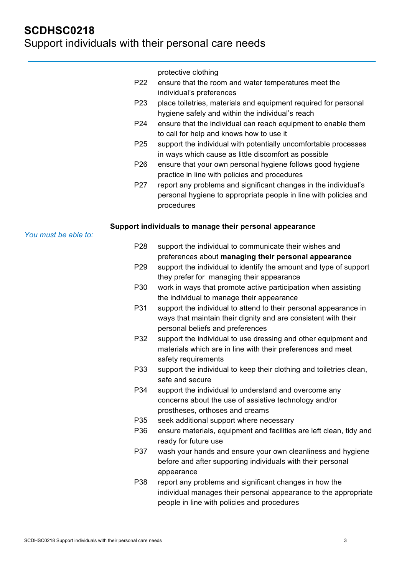*You must be able to:* protective clothing P22 ensure that the room and water temperatures meet the individual's preferences P23 place toiletries, materials and equipment required for personal hygiene safely and within the individual's reach P24 ensure that the individual can reach equipment to enable them to call for help and knows how to use it P25 support the individual with potentially uncomfortable processes in ways which cause as little discomfort as possible P26 ensure that your own personal hygiene follows good hygiene practice in line with policies and procedures P27 report any problems and significant changes in the individual's personal hygiene to appropriate people in line with policies and procedures **Support individuals to manage their personal appearance** P28 support the individual to communicate their wishes and preferences about **managing their personal appearance** P29 support the individual to identify the amount and type of support they prefer for managing their appearance P30 work in ways that promote active participation when assisting the individual to manage their appearance P31 support the individual to attend to their personal appearance in ways that maintain their dignity and are consistent with their personal beliefs and preferences P32 support the individual to use dressing and other equipment and materials which are in line with their preferences and meet safety requirements P33 support the individual to keep their clothing and toiletries clean, safe and secure P34 support the individual to understand and overcome any concerns about the use of assistive technology and/or prostheses, orthoses and creams P35 seek additional support where necessary P36 ensure materials, equipment and facilities are left clean, tidy and ready for future use P37 wash your hands and ensure your own cleanliness and hygiene before and after supporting individuals with their personal

> appearance P38 report any problems and significant changes in how the individual manages their personal appearance to the appropriate people in line with policies and procedures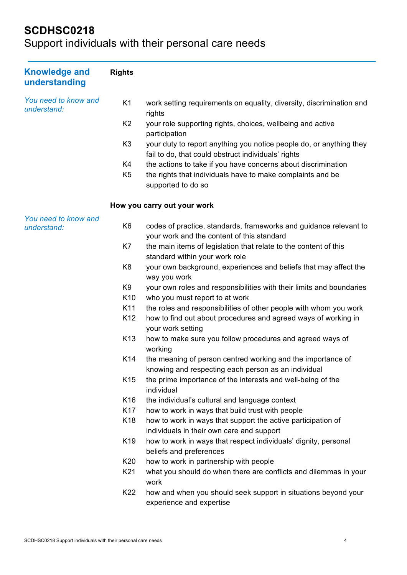| <b>Knowledge and</b><br>understanding | <b>Rights</b>   |                                                                                                                            |
|---------------------------------------|-----------------|----------------------------------------------------------------------------------------------------------------------------|
| You need to know and<br>understand:   | K <sub>1</sub>  | work setting requirements on equality, diversity, discrimination and<br>rights                                             |
|                                       | K <sub>2</sub>  | your role supporting rights, choices, wellbeing and active<br>participation                                                |
|                                       | K <sub>3</sub>  | your duty to report anything you notice people do, or anything they<br>fail to do, that could obstruct individuals' rights |
|                                       | K4              | the actions to take if you have concerns about discrimination                                                              |
|                                       | K <sub>5</sub>  | the rights that individuals have to make complaints and be<br>supported to do so                                           |
|                                       |                 | How you carry out your work                                                                                                |
| You need to know and<br>understand:   | K <sub>6</sub>  | codes of practice, standards, frameworks and guidance relevant to<br>your work and the content of this standard            |
|                                       | K7              | the main items of legislation that relate to the content of this<br>standard within your work role                         |
|                                       | K <sub>8</sub>  | your own background, experiences and beliefs that may affect the<br>way you work                                           |
|                                       | K <sub>9</sub>  | your own roles and responsibilities with their limits and boundaries                                                       |
|                                       | K <sub>10</sub> | who you must report to at work                                                                                             |
|                                       | K11             | the roles and responsibilities of other people with whom you work                                                          |
|                                       | K <sub>12</sub> | how to find out about procedures and agreed ways of working in<br>your work setting                                        |
|                                       | K <sub>13</sub> | how to make sure you follow procedures and agreed ways of<br>working                                                       |
|                                       | K14             | the meaning of person centred working and the importance of<br>knowing and respecting each person as an individual         |
|                                       | K <sub>15</sub> | the prime importance of the interests and well-being of the<br>individual                                                  |
|                                       | K <sub>16</sub> | the individual's cultural and language context                                                                             |
|                                       | K <sub>17</sub> | how to work in ways that build trust with people                                                                           |
|                                       | K <sub>18</sub> | how to work in ways that support the active participation of<br>individuals in their own care and support                  |
|                                       | K <sub>19</sub> | how to work in ways that respect individuals' dignity, personal<br>beliefs and preferences                                 |
|                                       | K <sub>20</sub> | how to work in partnership with people                                                                                     |
|                                       | K <sub>21</sub> | what you should do when there are conflicts and dilemmas in your<br>work                                                   |
|                                       | K22             | how and when you should seek support in situations beyond your<br>experience and expertise                                 |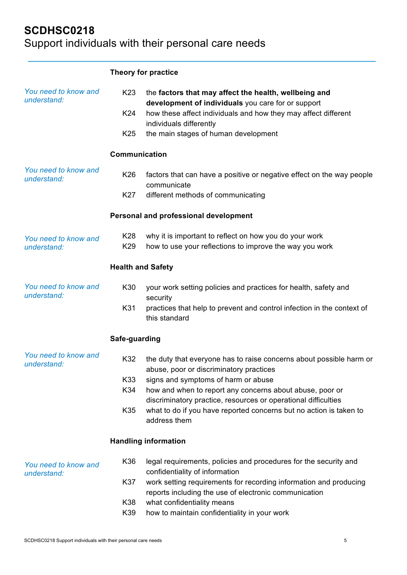|                                     |                          | Theory for practice                                                                                                                                                           |
|-------------------------------------|--------------------------|-------------------------------------------------------------------------------------------------------------------------------------------------------------------------------|
| You need to know and<br>understand: | K <sub>23</sub><br>K24   | the factors that may affect the health, wellbeing and<br>development of individuals you care for or support<br>how these affect individuals and how they may affect different |
|                                     |                          | individuals differently                                                                                                                                                       |
|                                     | K <sub>25</sub>          | the main stages of human development                                                                                                                                          |
|                                     | Communication            |                                                                                                                                                                               |
| You need to know and<br>understand: | K26                      | factors that can have a positive or negative effect on the way people<br>communicate                                                                                          |
|                                     | K27                      | different methods of communicating                                                                                                                                            |
|                                     |                          | Personal and professional development                                                                                                                                         |
| You need to know and<br>understand: | K28<br>K29               | why it is important to reflect on how you do your work<br>how to use your reflections to improve the way you work                                                             |
|                                     |                          |                                                                                                                                                                               |
|                                     | <b>Health and Safety</b> |                                                                                                                                                                               |
| You need to know and<br>understand: | K30                      | your work setting policies and practices for health, safety and<br>security                                                                                                   |
|                                     | K31                      | practices that help to prevent and control infection in the context of<br>this standard                                                                                       |
|                                     | Safe-guarding            |                                                                                                                                                                               |
| You need to know and<br>understand: | K32                      | the duty that everyone has to raise concerns about possible harm or<br>abuse, poor or discriminatory practices                                                                |
|                                     | K33                      | signs and symptoms of harm or abuse                                                                                                                                           |
|                                     | K34                      | how and when to report any concerns about abuse, poor or<br>discriminatory practice, resources or operational difficulties                                                    |
|                                     | K35                      | what to do if you have reported concerns but no action is taken to<br>address them                                                                                            |
|                                     |                          | <b>Handling information</b>                                                                                                                                                   |
| You need to know and<br>understand: | K36                      | legal requirements, policies and procedures for the security and<br>confidentiality of information                                                                            |
|                                     | K37                      | work setting requirements for recording information and producing<br>reports including the use of electronic communication                                                    |
|                                     | K38<br>K39               | what confidentiality means<br>how to maintain confidentiality in your work                                                                                                    |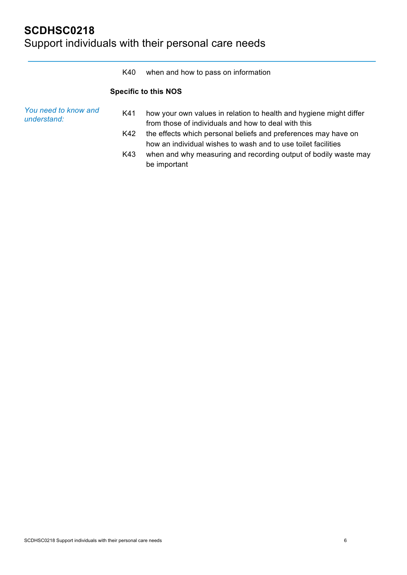|                                     | K40 | when and how to pass on information                                                                                             |
|-------------------------------------|-----|---------------------------------------------------------------------------------------------------------------------------------|
|                                     |     | <b>Specific to this NOS</b>                                                                                                     |
| You need to know and<br>understand: | K41 | how your own values in relation to health and hygiene might differ<br>from those of individuals and how to deal with this       |
|                                     | K42 | the effects which personal beliefs and preferences may have on<br>how an individual wishes to wash and to use toilet facilities |
|                                     | K43 | when and why measuring and recording output of bodily waste may<br>be important                                                 |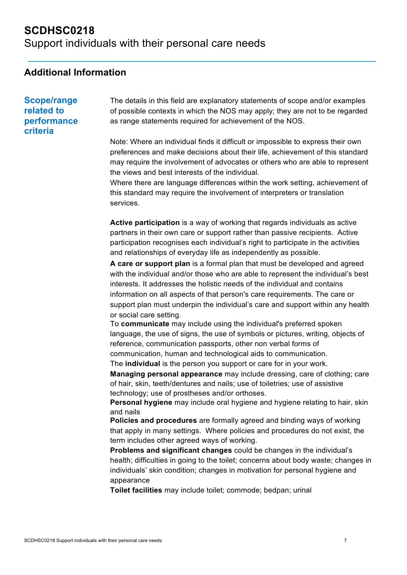Support individuals with their personal care needs

#### **Additional Information**

**Scope/range related to performance criteria**

The details in this field are explanatory statements of scope and/or examples of possible contexts in which the NOS may apply; they are not to be regarded as range statements required for achievement of the NOS.

Note: Where an individual finds it difficult or impossible to express their own preferences and make decisions about their life, achievement of this standard may require the involvement of advocates or others who are able to represent the views and best interests of the individual.

Where there are language differences within the work setting, achievement of this standard may require the involvement of interpreters or translation services.

**Active participation** is a way of working that regards individuals as active partners in their own care or support rather than passive recipients. Active participation recognises each individual's right to participate in the activities and relationships of everyday life as independently as possible.

**A care or support plan** is a formal plan that must be developed and agreed with the individual and/or those who are able to represent the individual's best interests. It addresses the holistic needs of the individual and contains information on all aspects of that person's care requirements. The care or support plan must underpin the individual's care and support within any health or social care setting.

To **communicate** may include using the individual's preferred spoken language, the use of signs, the use of symbols or pictures, writing, objects of reference, communication passports, other non verbal forms of communication, human and technological aids to communication. The **individual** is the person you support or care for in your work.

**Managing personal appearance** may include dressing, care of clothing; care of hair, skin, teeth/dentures and nails; use of toiletries; use of assistive technology; use of prostheses and/or orthoses.

**Personal hygiene** may include oral hygiene and hygiene relating to hair, skin and nails

**Policies and procedures** are formally agreed and binding ways of working that apply in many settings. Where policies and procedures do not exist, the term includes other agreed ways of working.

**Problems and significant changes** could be changes in the individual's health; difficulties in going to the toilet; concerns about body waste; changes in individuals' skin condition; changes in motivation for personal hygiene and appearance

**Toilet facilities** may include toilet; commode; bedpan; urinal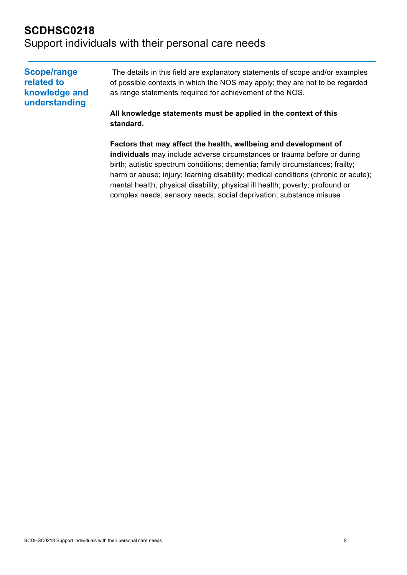### **SCDHSC0218** Support individuals with their personal care needs

**Scope/range related to knowledge and understanding** The details in this field are explanatory statements of scope and/or examples of possible contexts in which the NOS may apply; they are not to be regarded as range statements required for achievement of the NOS. **All knowledge statements must be applied in the context of this standard.**

> **Factors that may affect the health, wellbeing and development of individuals** may include adverse circumstances or trauma before or during birth; autistic spectrum conditions; dementia; family circumstances; frailty; harm or abuse; injury; learning disability; medical conditions (chronic or acute); mental health; physical disability; physical ill health; poverty; profound or complex needs; sensory needs; social deprivation; substance misuse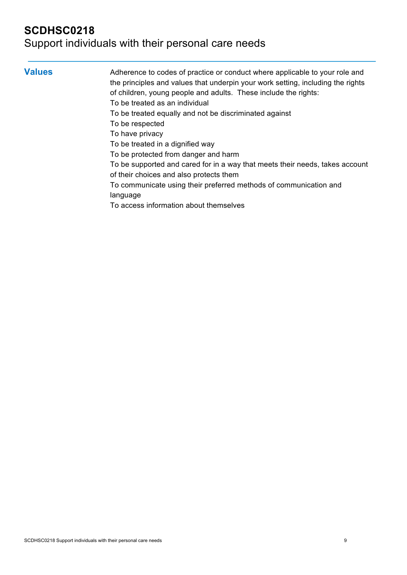| <b>Values</b> | Adherence to codes of practice or conduct where applicable to your role and<br>the principles and values that underpin your work setting, including the rights |
|---------------|----------------------------------------------------------------------------------------------------------------------------------------------------------------|
|               | of children, young people and adults. These include the rights:                                                                                                |
|               | To be treated as an individual                                                                                                                                 |
|               | To be treated equally and not be discriminated against                                                                                                         |
|               | To be respected                                                                                                                                                |
|               | To have privacy                                                                                                                                                |
|               | To be treated in a dignified way                                                                                                                               |
|               | To be protected from danger and harm                                                                                                                           |
|               | To be supported and cared for in a way that meets their needs, takes account<br>of their choices and also protects them                                        |
|               | To communicate using their preferred methods of communication and                                                                                              |
|               | language                                                                                                                                                       |
|               | To access information about themselves                                                                                                                         |
|               |                                                                                                                                                                |